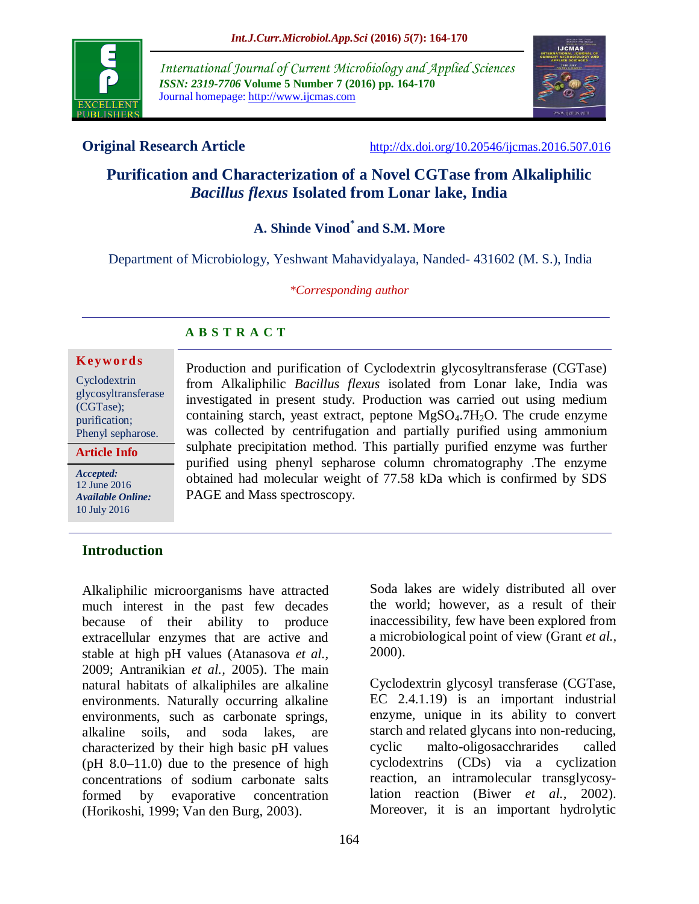

*International Journal of Current Microbiology and Applied Sciences ISSN: 2319-7706* **Volume 5 Number 7 (2016) pp. 164-170** Journal homepage: http://www.ijcmas.com



**Original Research Article** <http://dx.doi.org/10.20546/ijcmas.2016.507.016>

# **Purification and Characterization of a Novel CGTase from Alkaliphilic**  *Bacillus flexus* **Isolated from Lonar lake, India**

**A. Shinde Vinod\* and S.M. More**

Department of Microbiology, Yeshwant Mahavidyalaya, Nanded- 431602 (M. S.), India

*\*Corresponding author*

# **A B S T R A C T**

#### **K ey w o rd s**

Cyclodextrin glycosyltransferase (CGTase); purification; Phenyl sepharose.

*Accepted:*  12 June 2016 *Available Online:* 10 July 2016 **Article Info**

Production and purification of Cyclodextrin glycosyltransferase (CGTase) from Alkaliphilic *Bacillus flexus* isolated from Lonar lake, India was investigated in present study. Production was carried out using medium containing starch, yeast extract, peptone  $MgSO<sub>4</sub>$ .7H<sub>2</sub>O. The crude enzyme was collected by centrifugation and partially purified using ammonium sulphate precipitation method. This partially purified enzyme was further purified using phenyl sepharose column chromatography .The enzyme obtained had molecular weight of 77.58 kDa which is confirmed by SDS PAGE and Mass spectroscopy.

### **Introduction**

Alkaliphilic microorganisms have attracted much interest in the past few decades because of their ability to produce extracellular enzymes that are active and stable at high pH values (Atanasova *et al.,* 2009; Antranikian *et al.,* 2005). The main natural habitats of alkaliphiles are alkaline environments. Naturally occurring alkaline environments, such as carbonate springs, alkaline soils, and soda lakes, are characterized by their high basic pH values (pH 8.0–11.0) due to the presence of high concentrations of sodium carbonate salts formed by evaporative concentration (Horikoshi, 1999; Van den Burg, 2003).

Soda lakes are widely distributed all over the world; however, as a result of their inaccessibility, few have been explored from a microbiological point of view (Grant *et al.,* 2000).

Cyclodextrin glycosyl transferase (CGTase, EC 2.4.1.19) is an important industrial enzyme, unique in its ability to convert starch and related glycans into non-reducing, cyclic malto-oligosacchrarides called cyclodextrins (CDs) via a cyclization reaction, an intramolecular transglycosylation reaction (Biwer *et al.,* 2002). Moreover, it is an important hydrolytic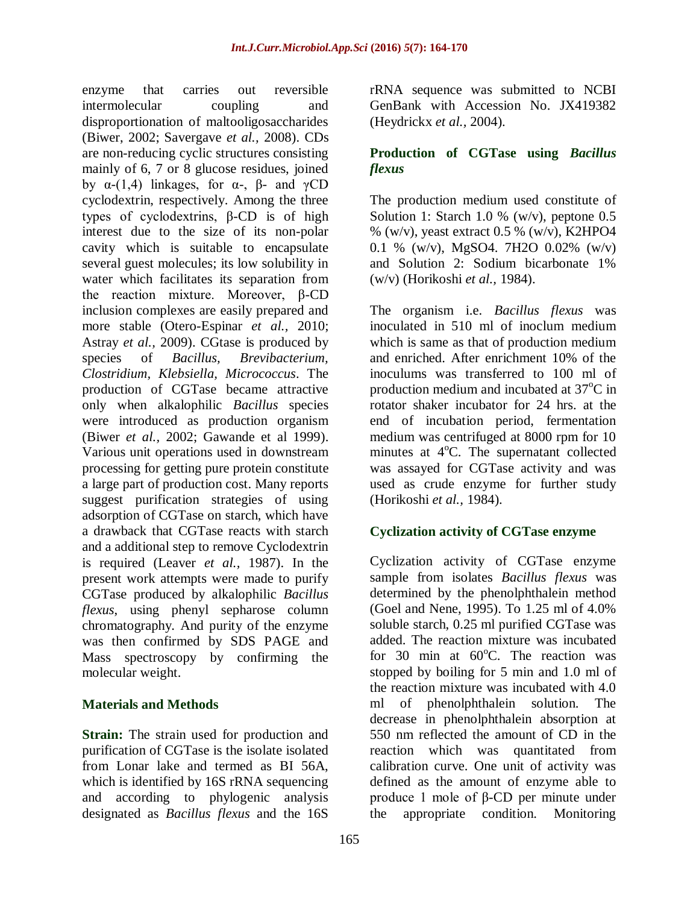enzyme that carries out reversible intermolecular coupling and disproportionation of maltooligosaccharides (Biwer, 2002; Savergave *et al.,* 2008). CDs are non-reducing cyclic structures consisting mainly of 6, 7 or 8 glucose residues, joined by α-(1,4) linkages, for α-, β- and γCD cyclodextrin, respectively. Among the three types of cyclodextrins, β-CD is of high interest due to the size of its non-polar cavity which is suitable to encapsulate several guest molecules; its low solubility in water which facilitates its separation from the reaction mixture. Moreover, β-CD inclusion complexes are easily prepared and more stable (Otero-Espinar *et al.,* 2010; Astray *et al.,* 2009). CGtase is produced by species of *Bacillus, Brevibacterium, Clostridium, Klebsiella, Micrococcus*. The production of CGTase became attractive only when alkalophilic *Bacillus* species were introduced as production organism (Biwer *et al.,* 2002; Gawande et al 1999). Various unit operations used in downstream processing for getting pure protein constitute a large part of production cost. Many reports suggest purification strategies of using adsorption of CGTase on starch, which have a drawback that CGTase reacts with starch and a additional step to remove Cyclodextrin is required (Leaver *et al.,* 1987). In the present work attempts were made to purify CGTase produced by alkalophilic *Bacillus flexus*, using phenyl sepharose column chromatography. And purity of the enzyme was then confirmed by SDS PAGE and Mass spectroscopy by confirming the molecular weight.

### **Materials and Methods**

**Strain:** The strain used for production and purification of CGTase is the isolate isolated from Lonar lake and termed as BI 56A, which is identified by 16S rRNA sequencing and according to phylogenic analysis designated as *Bacillus flexus* and the 16S

rRNA sequence was submitted to NCBI GenBank with Accession No. JX419382 (Heydrickx *et al.,* 2004).

# **Production of CGTase using** *Bacillus flexus*

The production medium used constitute of Solution 1: Starch 1.0 % (w/v), peptone  $0.5$  $\%$  (w/v), yeast extract 0.5 % (w/v), K2HPO4 0.1 % (w/v), MgSO4. 7H2O 0.02% (w/v) and Solution 2: Sodium bicarbonate 1% (w/v) (Horikoshi *et al.,* 1984).

The organism i.e. *Bacillus flexus* was inoculated in 510 ml of inoclum medium which is same as that of production medium and enriched. After enrichment 10% of the inoculums was transferred to 100 ml of production medium and incubated at  $37^{\circ}$ C in rotator shaker incubator for 24 hrs. at the end of incubation period, fermentation medium was centrifuged at 8000 rpm for 10 minutes at  $4^{\circ}$ C. The supernatant collected was assayed for CGTase activity and was used as crude enzyme for further study (Horikoshi *et al.,* 1984).

### **Cyclization activity of CGTase enzyme**

Cyclization activity of CGTase enzyme sample from isolates *Bacillus flexus* was determined by the phenolphthalein method (Goel and Nene, 1995). To 1.25 ml of 4.0% soluble starch, 0.25 ml purified CGTase was added. The reaction mixture was incubated for 30 min at  $60^{\circ}$ C. The reaction was stopped by boiling for 5 min and 1.0 ml of the reaction mixture was incubated with 4.0 ml of phenolphthalein solution. The decrease in phenolphthalein absorption at 550 nm reflected the amount of CD in the reaction which was quantitated from calibration curve. One unit of activity was defined as the amount of enzyme able to produce 1 mole of β-CD per minute under the appropriate condition. Monitoring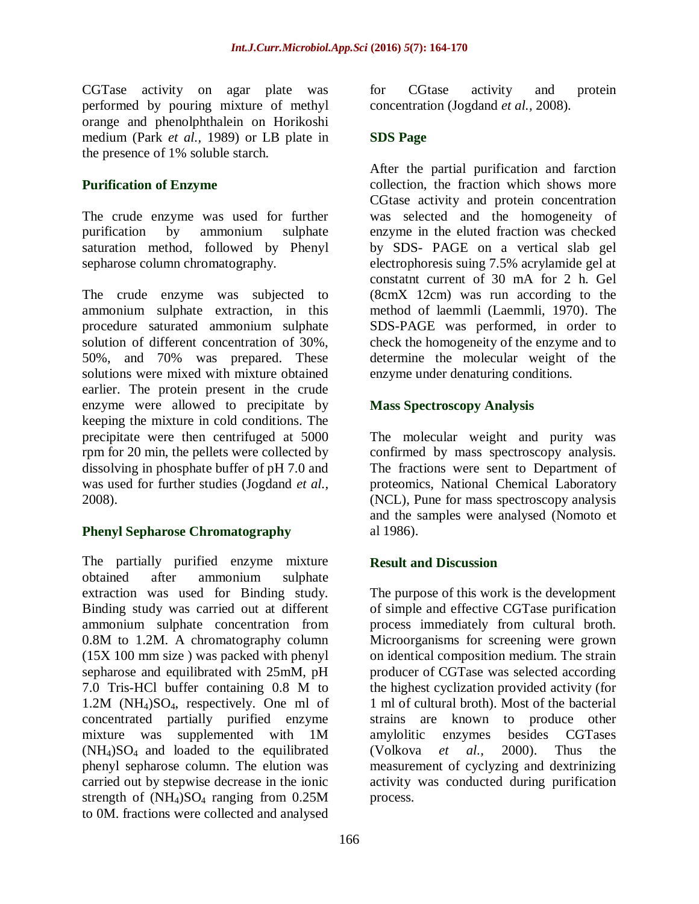CGTase activity on agar plate was performed by pouring mixture of methyl orange and phenolphthalein on Horikoshi medium (Park *et al.,* 1989) or LB plate in the presence of 1% soluble starch.

# **Purification of Enzyme**

The crude enzyme was used for further purification by ammonium sulphate saturation method, followed by Phenyl sepharose column chromatography.

The crude enzyme was subjected to ammonium sulphate extraction, in this procedure saturated ammonium sulphate solution of different concentration of 30%, 50%, and 70% was prepared. These solutions were mixed with mixture obtained earlier. The protein present in the crude enzyme were allowed to precipitate by keeping the mixture in cold conditions. The precipitate were then centrifuged at 5000 rpm for 20 min, the pellets were collected by dissolving in phosphate buffer of pH 7.0 and was used for further studies (Jogdand *et al.,* 2008).

# **Phenyl Sepharose Chromatography**

The partially purified enzyme mixture obtained after ammonium sulphate extraction was used for Binding study. Binding study was carried out at different ammonium sulphate concentration from 0.8M to 1.2M. A chromatography column (15X 100 mm size ) was packed with phenyl sepharose and equilibrated with 25mM, pH 7.0 Tris-HCl buffer containing 0.8 M to 1.2M (NH4)SO4, respectively. One ml of concentrated partially purified enzyme mixture was supplemented with 1M  $(NH_4)SO_4$  and loaded to the equilibrated phenyl sepharose column. The elution was carried out by stepwise decrease in the ionic strength of  $(NH_4)SO_4$  ranging from 0.25M to 0M. fractions were collected and analysed

for CGtase activity and protein concentration (Jogdand *et al.,* 2008).

# **SDS Page**

After the partial purification and farction collection, the fraction which shows more CGtase activity and protein concentration was selected and the homogeneity of enzyme in the eluted fraction was checked by SDS- PAGE on a vertical slab gel electrophoresis suing 7.5% acrylamide gel at constatnt current of 30 mA for 2 h. Gel (8cmX 12cm) was run according to the method of laemmli (Laemmli, 1970). The SDS-PAGE was performed, in order to check the homogeneity of the enzyme and to determine the molecular weight of the enzyme under denaturing conditions.

# **Mass Spectroscopy Analysis**

The molecular weight and purity was confirmed by mass spectroscopy analysis. The fractions were sent to Department of proteomics, National Chemical Laboratory (NCL), Pune for mass spectroscopy analysis and the samples were analysed (Nomoto et al 1986).

### **Result and Discussion**

The purpose of this work is the development of simple and effective CGTase purification process immediately from cultural broth. Microorganisms for screening were grown on identical composition medium. The strain producer of CGTase was selected according the highest cyclization provided activity (for 1 ml of cultural broth). Most of the bacterial strains are known to produce other amylolitic enzymes besides CGTases (Volkova *et al.,* 2000). Thus the measurement of cyclyzing and dextrinizing activity was conducted during purification process.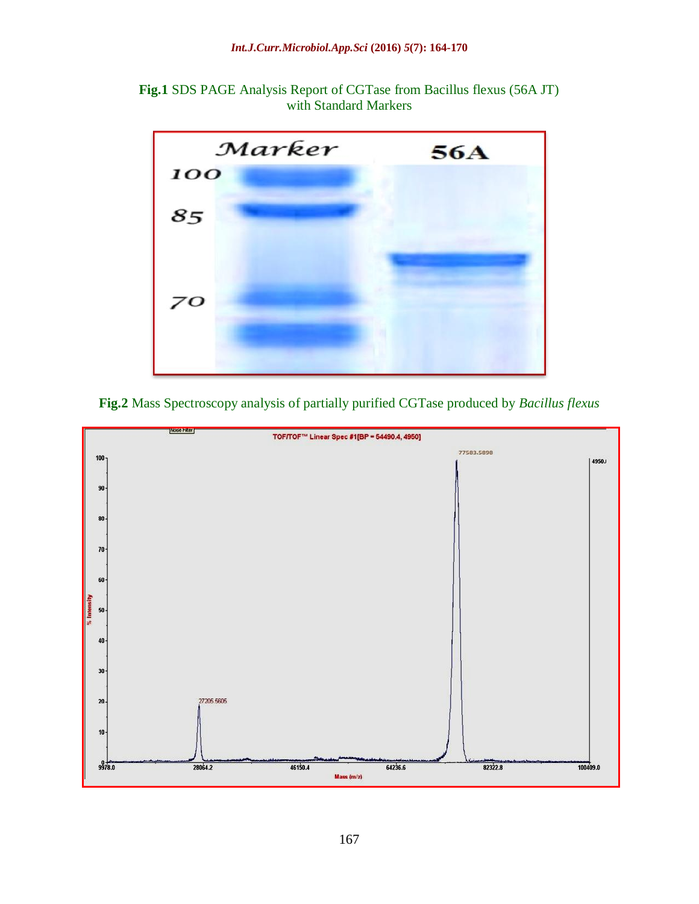**Fig.1** SDS PAGE Analysis Report of CGTase from Bacillus flexus (56A JT) with Standard Markers



**Fig.2** Mass Spectroscopy analysis of partially purified CGTase produced by *Bacillus flexus*

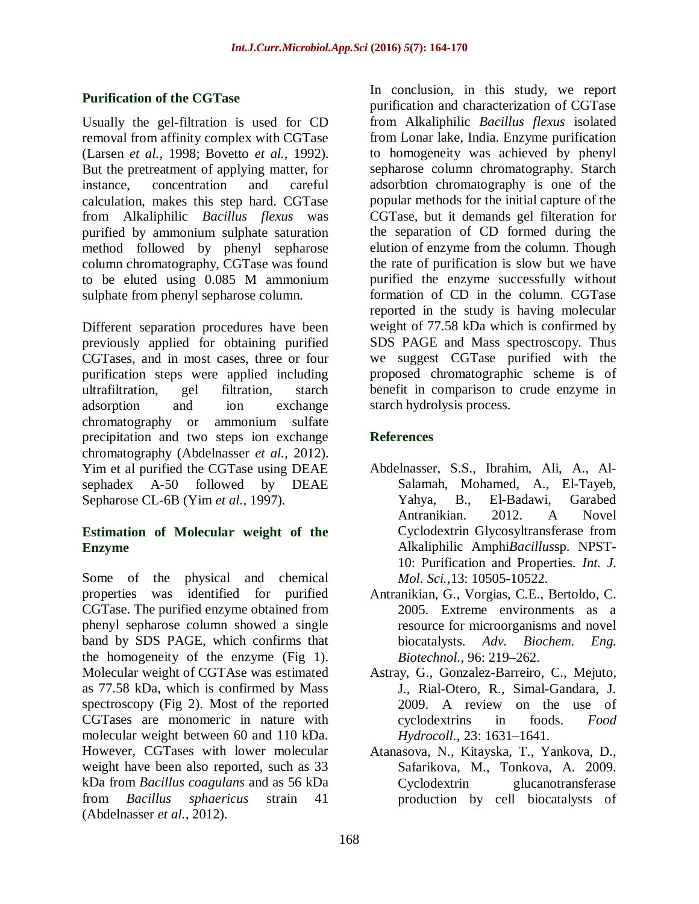# **Purification of the CGTase**

Usually the gel-filtration is used for CD removal from affinity complex with CGTase (Larsen *et al.,* 1998; Bovetto *et al.,* 1992). But the pretreatment of applying matter, for instance, concentration and careful calculation, makes this step hard. CGTase from Alkaliphilic *Bacillus flexus* was purified by ammonium sulphate saturation method followed by phenyl sepharose column chromatography, CGTase was found to be eluted using 0.085 M ammonium sulphate from phenyl sepharose column.

Different separation procedures have been previously applied for obtaining purified CGTases, and in most cases, three or four purification steps were applied including ultrafiltration, gel filtration, starch adsorption and ion exchange chromatography or ammonium sulfate precipitation and two steps ion exchange chromatography (Abdelnasser *et al.,* 2012). Yim et al purified the CGTase using DEAE sephadex A-50 followed by DEAE Sepharose CL-6B (Yim *et al.,* 1997).

### **Estimation of Molecular weight of the Enzyme**

Some of the physical and chemical properties was identified for purified CGTase. The purified enzyme obtained from phenyl sepharose column showed a single band by SDS PAGE, which confirms that the homogeneity of the enzyme (Fig 1). Molecular weight of CGTAse was estimated as 77.58 kDa, which is confirmed by Mass spectroscopy (Fig 2). Most of the reported CGTases are monomeric in nature with molecular weight between 60 and 110 kDa. However, CGTases with lower molecular weight have been also reported, such as 33 kDa from *Bacillus coagulans* and as 56 kDa from *Bacillus sphaericus* strain 41 (Abdelnasser *et al.,* 2012).

In conclusion, in this study, we report purification and characterization of CGTase from Alkaliphilic *Bacillus flexus* isolated from Lonar lake, India. Enzyme purification to homogeneity was achieved by phenyl sepharose column chromatography. Starch adsorbtion chromatography is one of the popular methods for the initial capture of the CGTase, but it demands gel filteration for the separation of CD formed during the elution of enzyme from the column. Though the rate of purification is slow but we have purified the enzyme successfully without formation of CD in the column. CGTase reported in the study is having molecular weight of 77.58 kDa which is confirmed by SDS PAGE and Mass spectroscopy. Thus we suggest CGTase purified with the proposed chromatographic scheme is of benefit in comparison to crude enzyme in starch hydrolysis process.

# **References**

- Abdelnasser, S.S., Ibrahim, Ali, A., Al-Salamah, Mohamed, A., El-Tayeb, Yahya, B., El-Badawi, Garabed Antranikian. 2012. A Novel Cyclodextrin Glycosyltransferase from Alkaliphilic Amphi*Bacillus*sp. NPST-10: Purification and Properties. *Int. J. Mol. Sci.,*13: 10505-10522.
- Antranikian, G., Vorgias, C.E., Bertoldo, C. 2005. Extreme environments as a resource for microorganisms and novel biocatalysts. *Adv. Biochem. Eng. Biotechnol.,* 96: 219–262.
- Astray, G., Gonzalez-Barreiro, C., Mejuto, J., Rial-Otero, R., Simal-Gandara, J. 2009. A review on the use of cyclodextrins in foods. *Food Hydrocoll.,* 23: 1631–1641.
- Atanasova, N., Kitayska, T., Yankova, D., Safarikova, M., Tonkova, A. 2009. Cyclodextrin glucanotransferase production by cell biocatalysts of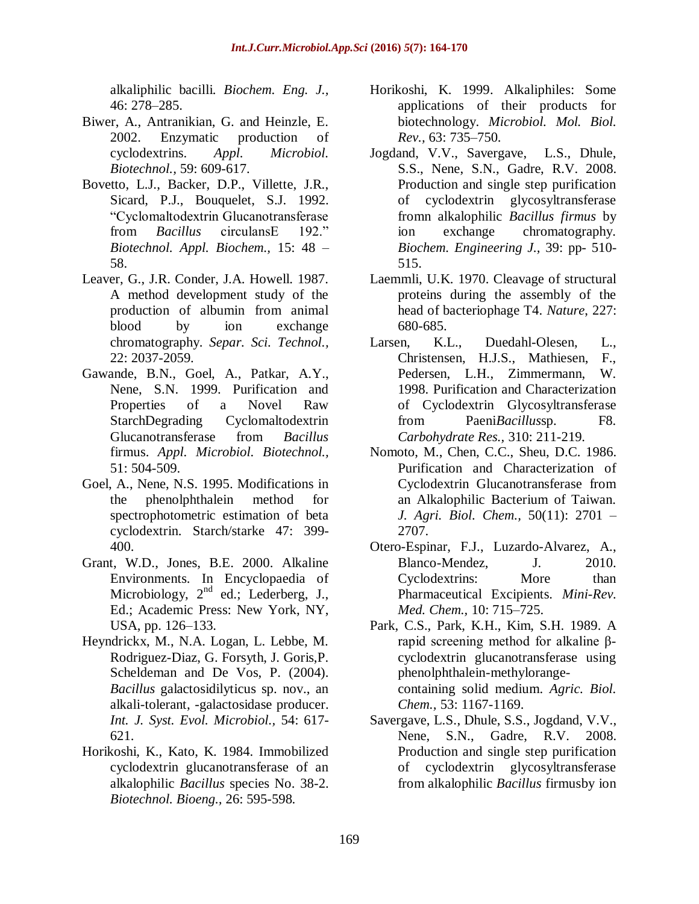alkaliphilic bacilli*. Biochem. Eng. J.,*  46: 278–285.

- Biwer, A., Antranikian, G. and Heinzle, E. 2002. Enzymatic production of cyclodextrins. *Appl. Microbiol. Biotechnol.,* 59: 609-617.
- Bovetto, L.J., Backer, D.P., Villette, J.R., Sicard, P.J., Bouquelet, S.J. 1992. "Cyclomaltodextrin Glucanotransferase from *Bacillus* circulansE 192." *Biotechnol. Appl. Biochem.,* 15: 48 – 58.
- Leaver, G., J.R. Conder, J.A. Howell. 1987. A method development study of the production of albumin from animal blood by ion exchange chromatography. *Separ. Sci. Technol.,*  22: 2037-2059.
- Gawande, B.N., Goel, A., Patkar, A.Y., Nene, S.N. 1999. Purification and Properties of a Novel Raw StarchDegrading Cyclomaltodextrin Glucanotransferase from *Bacillus* firmus. *Appl. Microbiol. Biotechnol.,*  51: 504-509.
- Goel, A., Nene, N.S. 1995. Modifications in the phenolphthalein method for spectrophotometric estimation of beta cyclodextrin. Starch/starke 47: 399- 400.
- Grant, W.D., Jones, B.E. 2000. Alkaline Environments. In Encyclopaedia of Microbiology, 2<sup>nd</sup> ed.; Lederberg, J., Ed.; Academic Press: New York, NY, USA, pp. 126–133.
- Heyndrickx, M., N.A. Logan, L. Lebbe, M. Rodriguez-Diaz, G. Forsyth, J. Goris,P. Scheldeman and De Vos, P. (2004). *Bacillus* galactosidilyticus sp. nov., an alkali-tolerant, -galactosidase producer. *Int. J. Syst. Evol. Microbiol.,* 54: 617- 621.
- Horikoshi, K., Kato, K. 1984. Immobilized cyclodextrin glucanotransferase of an alkalophilic *Bacillus* species No. 38-2. *Biotechnol. Bioeng.,* 26: 595-598.
- Horikoshi, K. 1999. Alkaliphiles: Some applications of their products for biotechnology. *Microbiol. Mol. Biol. Rev.,* 63: 735–750.
- Jogdand, V.V., Savergave, L.S., Dhule, S.S., Nene, S.N., Gadre, R.V. 2008. Production and single step purification of cyclodextrin glycosyltransferase fromn alkalophilic *Bacillus firmus* by ion exchange chromatography. *Biochem. Engineering J.,* 39: pp- 510- 515.
- Laemmli, U.K. 1970. Cleavage of structural proteins during the assembly of the head of bacteriophage T4. *Nature*, 227: 680-685.
- Larsen, K.L., Duedahl-Olesen, L., Christensen, H.J.S., Mathiesen, F., Pedersen, L.H., Zimmermann, W. 1998. Purification and Characterization of Cyclodextrin Glycosyltransferase from Paeni*Bacillus*sp. F8. *Carbohydrate Res.,* 310: 211-219.
- Nomoto, M., Chen, C.C., Sheu, D.C. 1986. Purification and Characterization of Cyclodextrin Glucanotransferase from an Alkalophilic Bacterium of Taiwan. *J. Agri. Biol. Chem.,* 50(11): 2701 – 2707.
- Otero-Espinar, F.J., Luzardo-Alvarez, A., Blanco-Mendez, J. 2010. Cyclodextrins: More than Pharmaceutical Excipients. *Mini-Rev. Med. Chem.,* 10: 715–725.
- Park, C.S., Park, K.H., Kim, S.H. 1989. A rapid screening method for alkaline βcyclodextrin glucanotransferase using phenolphthalein-methylorangecontaining solid medium. *Agric. Biol. Chem.,* 53: 1167-1169.
- Savergave, L.S., Dhule, S.S., Jogdand, V.V., Nene, S.N., Gadre, R.V. 2008. Production and single step purification of cyclodextrin glycosyltransferase from alkalophilic *Bacillus* firmusby ion